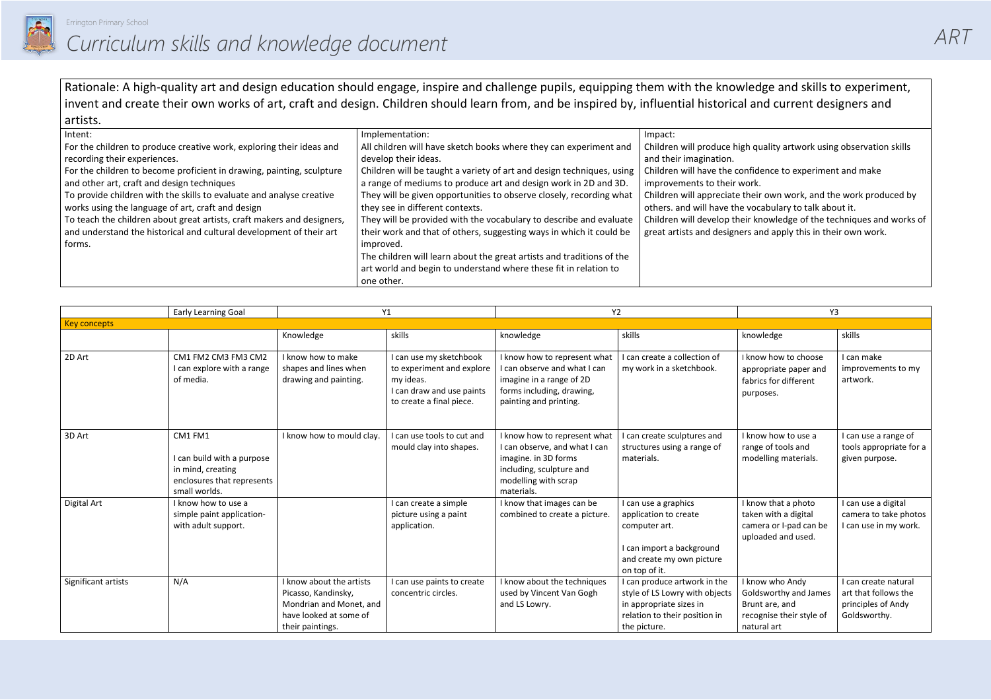

*ART*

h quality artwork using observation skills

- ofidence to experiment and make ork.
- heir own work, and the work produced by vocabulary to talk about it.
- ir knowledge of the techniques and works of rs and apply this in their own work.

Rationale: A high-quality art and design education should engage, inspire and challenge pupils, equipping them with the knowledge and skills to experiment, invent and create their own works of art, craft and design. Children should learn from, and be inspired by, influential historical and current designers and artists.

| Intent:                                                                | Implementation:                                                       | Impact:                     |
|------------------------------------------------------------------------|-----------------------------------------------------------------------|-----------------------------|
| For the children to produce creative work, exploring their ideas and   | All children will have sketch books where they can experiment and     | Children will produce high  |
| recording their experiences.                                           | develop their ideas.                                                  | and their imagination.      |
| For the children to become proficient in drawing, painting, sculpture  | Children will be taught a variety of art and design techniques, using | Children will have the con  |
| and other art, craft and design techniques                             | a range of mediums to produce art and design work in 2D and 3D.       | improvements to their wo    |
| To provide children with the skills to evaluate and analyse creative   | They will be given opportunities to observe closely, recording what   | Children will appreciate th |
| works using the language of art, craft and design                      | they see in different contexts.                                       | others, and will have the   |
| To teach the children about great artists, craft makers and designers, | They will be provided with the vocabulary to describe and evaluate    | Children will develop their |
| and understand the historical and cultural development of their art    | their work and that of others, suggesting ways in which it could be   | great artists and designer. |
| forms.                                                                 | improved.                                                             |                             |
|                                                                        | The children will learn about the great artists and traditions of the |                             |
|                                                                        | art world and begin to understand where these fit in relation to      |                             |
|                                                                        | one other.                                                            |                             |

|                     | Early Learning Goal<br>Y1                                                                                 |                                                                                                                          | Y2                                                                                                                         |                                                                                                                                                         | Y3                                                                                                                                         |                                                                                                       |                                                                                    |
|---------------------|-----------------------------------------------------------------------------------------------------------|--------------------------------------------------------------------------------------------------------------------------|----------------------------------------------------------------------------------------------------------------------------|---------------------------------------------------------------------------------------------------------------------------------------------------------|--------------------------------------------------------------------------------------------------------------------------------------------|-------------------------------------------------------------------------------------------------------|------------------------------------------------------------------------------------|
| <b>Key concepts</b> |                                                                                                           |                                                                                                                          |                                                                                                                            |                                                                                                                                                         |                                                                                                                                            |                                                                                                       |                                                                                    |
|                     |                                                                                                           | Knowledge                                                                                                                | skills                                                                                                                     | knowledge                                                                                                                                               | skills                                                                                                                                     | knowledge                                                                                             | skills                                                                             |
| 2D Art              | CM1 FM2 CM3 FM3 CM2<br>I can explore with a range<br>of media.                                            | I know how to make<br>shapes and lines when<br>drawing and painting.                                                     | I can use my sketchbook<br>to experiment and explore<br>my ideas.<br>I can draw and use paints<br>to create a final piece. | I know how to represent what<br>I can observe and what I can<br>imagine in a range of 2D<br>forms including, drawing,<br>painting and printing.         | I can create a collection of<br>my work in a sketchbook.                                                                                   | I know how to choose<br>appropriate paper and<br>fabrics for different<br>purposes.                   | I can make<br>improvements to my<br>artwork.                                       |
| 3D Art              | CM1 FM1<br>I can build with a purpose<br>in mind, creating<br>enclosures that represents<br>small worlds. | I know how to mould clay.                                                                                                | I can use tools to cut and<br>mould clay into shapes.                                                                      | I know how to represent what<br>I can observe, and what I can<br>imagine. in 3D forms<br>including, sculpture and<br>modelling with scrap<br>materials. | I can create sculptures and<br>structures using a range of<br>materials.                                                                   | I know how to use a<br>range of tools and<br>modelling materials.                                     | I can use a range of<br>tools appropriate for a<br>given purpose.                  |
| Digital Art         | I know how to use a<br>simple paint application-<br>with adult support.                                   |                                                                                                                          | I can create a simple<br>picture using a paint<br>application.                                                             | I know that images can be<br>combined to create a picture.                                                                                              | I can use a graphics<br>application to create<br>computer art.<br>I can import a background<br>and create my own picture<br>on top of it.  | I know that a photo<br>taken with a digital<br>camera or I-pad can be<br>uploaded and used.           | I can use a digital<br>camera to take photos<br>I can use in my work.              |
| Significant artists | N/A                                                                                                       | I know about the artists<br>Picasso, Kandinsky,<br>Mondrian and Monet, and<br>have looked at some of<br>their paintings. | I can use paints to create<br>concentric circles.                                                                          | I know about the techniques<br>used by Vincent Van Gogh<br>and LS Lowry.                                                                                | I can produce artwork in the<br>style of LS Lowry with objects<br>in appropriate sizes in<br>relation to their position in<br>the picture. | I know who Andy<br>Goldsworthy and James<br>Brunt are, and<br>recognise their style of<br>natural art | I can create natural<br>art that follows the<br>principles of Andy<br>Goldsworthy. |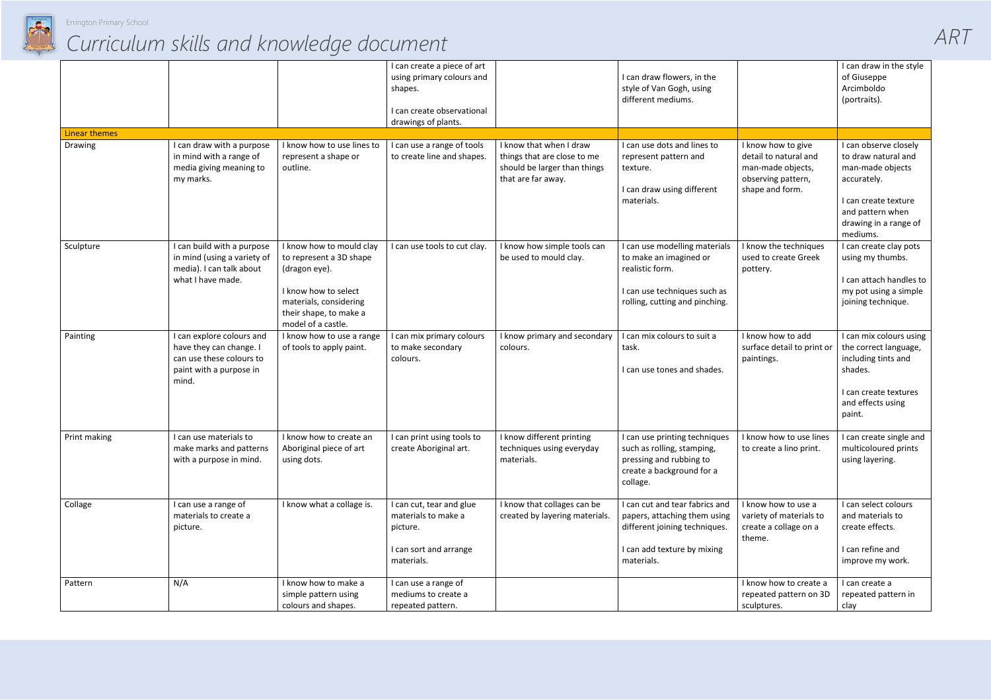

## *Curriculum skills and knowledge document*

|                      |                                                                                                                      |                                                                                                                                                                        | I can create a piece of art<br>using primary colours and<br>shapes.<br>I can create observational<br>drawings of plants. |                                                                                                              | I can draw flowers, in the<br>style of Van Gogh, using<br>different mediums.                                                                 |                                                                                                           | I can draw in the style<br>of Giuseppe<br>Arcimboldo<br>(portraits).                                                                                             |
|----------------------|----------------------------------------------------------------------------------------------------------------------|------------------------------------------------------------------------------------------------------------------------------------------------------------------------|--------------------------------------------------------------------------------------------------------------------------|--------------------------------------------------------------------------------------------------------------|----------------------------------------------------------------------------------------------------------------------------------------------|-----------------------------------------------------------------------------------------------------------|------------------------------------------------------------------------------------------------------------------------------------------------------------------|
| <b>Linear themes</b> |                                                                                                                      |                                                                                                                                                                        |                                                                                                                          |                                                                                                              |                                                                                                                                              |                                                                                                           |                                                                                                                                                                  |
| Drawing              | I can draw with a purpose<br>in mind with a range of<br>media giving meaning to<br>my marks.                         | I know how to use lines to<br>represent a shape or<br>outline.                                                                                                         | I can use a range of tools<br>to create line and shapes.                                                                 | I know that when I draw<br>things that are close to me<br>should be larger than things<br>that are far away. | I can use dots and lines to<br>represent pattern and<br>texture.<br>I can draw using different<br>materials.                                 | I know how to give<br>detail to natural and<br>man-made objects,<br>observing pattern,<br>shape and form. | I can observe closely<br>to draw natural and<br>man-made objects<br>accurately.<br>I can create texture<br>and pattern when<br>drawing in a range of<br>mediums. |
| Sculpture            | I can build with a purpose<br>in mind (using a variety of<br>media). I can talk about<br>what I have made.           | I know how to mould clay<br>to represent a 3D shape<br>(dragon eye).<br>I know how to select<br>materials, considering<br>their shape, to make a<br>model of a castle. | I can use tools to cut clay.                                                                                             | I know how simple tools can<br>be used to mould clay.                                                        | I can use modelling materials<br>to make an imagined or<br>realistic form.<br>I can use techniques such as<br>rolling, cutting and pinching. | I know the techniques<br>used to create Greek<br>pottery.                                                 | I can create clay pots<br>using my thumbs.<br>I can attach handles to<br>my pot using a simple<br>joining technique.                                             |
| Painting             | I can explore colours and<br>have they can change. I<br>can use these colours to<br>paint with a purpose in<br>mind. | I know how to use a range<br>of tools to apply paint.                                                                                                                  | I can mix primary colours<br>to make secondary<br>colours.                                                               | I know primary and secondary<br>colours.                                                                     | I can mix colours to suit a<br>task.<br>I can use tones and shades.                                                                          | I know how to add<br>surface detail to print or<br>paintings.                                             | I can mix colours using<br>the correct language,<br>including tints and<br>shades.<br>I can create textures<br>and effects using<br>paint.                       |
| Print making         | I can use materials to<br>make marks and patterns<br>with a purpose in mind.                                         | I know how to create an<br>Aboriginal piece of art<br>using dots.                                                                                                      | I can print using tools to<br>create Aboriginal art.                                                                     | I know different printing<br>techniques using everyday<br>materials.                                         | I can use printing techniques<br>such as rolling, stamping,<br>pressing and rubbing to<br>create a background for a<br>collage.              | I know how to use lines<br>to create a lino print.                                                        | I can create single and<br>multicoloured prints<br>using layering.                                                                                               |
| Collage              | I can use a range of<br>materials to create a<br>picture.                                                            | I know what a collage is.                                                                                                                                              | I can cut, tear and glue<br>materials to make a<br>picture.<br>I can sort and arrange<br>materials.                      | I know that collages can be<br>created by layering materials.                                                | I can cut and tear fabrics and<br>papers, attaching them using<br>different joining techniques.<br>I can add texture by mixing<br>materials. | I know how to use a<br>variety of materials to<br>create a collage on a<br>theme.                         | I can select colours<br>and materials to<br>create effects.<br>I can refine and<br>improve my work.                                                              |
| Pattern              | N/A                                                                                                                  | I know how to make a<br>simple pattern using<br>colours and shapes.                                                                                                    | I can use a range of<br>mediums to create a<br>repeated pattern.                                                         |                                                                                                              |                                                                                                                                              | I know how to create a<br>repeated pattern on 3D<br>sculptures.                                           | I can create a<br>repeated pattern in<br>clay                                                                                                                    |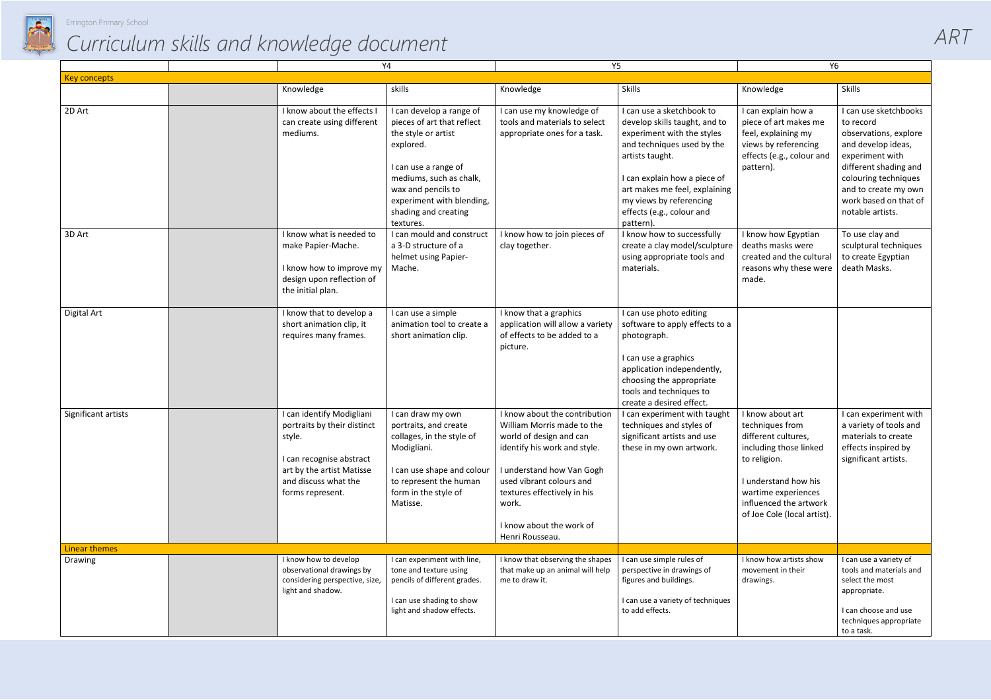

## *Curriculum skills and knowledge document*

*ART*

|                      |  | Y4                                                                                                                                                                      |                                                                                                                                                                                                                                       | Y5                                                                                                                                                                                                                                                                     |                                                                                                                                                                                                                                                                                 | Y6                                                                                                                                                                                                           |                                                                                                                                                                                                                            |
|----------------------|--|-------------------------------------------------------------------------------------------------------------------------------------------------------------------------|---------------------------------------------------------------------------------------------------------------------------------------------------------------------------------------------------------------------------------------|------------------------------------------------------------------------------------------------------------------------------------------------------------------------------------------------------------------------------------------------------------------------|---------------------------------------------------------------------------------------------------------------------------------------------------------------------------------------------------------------------------------------------------------------------------------|--------------------------------------------------------------------------------------------------------------------------------------------------------------------------------------------------------------|----------------------------------------------------------------------------------------------------------------------------------------------------------------------------------------------------------------------------|
| <b>Key concepts</b>  |  |                                                                                                                                                                         |                                                                                                                                                                                                                                       |                                                                                                                                                                                                                                                                        |                                                                                                                                                                                                                                                                                 |                                                                                                                                                                                                              |                                                                                                                                                                                                                            |
|                      |  | Knowledge                                                                                                                                                               | skills                                                                                                                                                                                                                                | Knowledge                                                                                                                                                                                                                                                              | <b>Skills</b>                                                                                                                                                                                                                                                                   | Knowledge                                                                                                                                                                                                    | Skills                                                                                                                                                                                                                     |
| 2D Art               |  | I know about the effects I<br>can create using different<br>mediums.                                                                                                    | I can develop a range of<br>pieces of art that reflect<br>the style or artist<br>explored.<br>I can use a range of<br>mediums, such as chalk,<br>wax and pencils to<br>experiment with blending,<br>shading and creating<br>textures. | I can use my knowledge of<br>tools and materials to select<br>appropriate ones for a task.                                                                                                                                                                             | I can use a sketchbook to<br>develop skills taught, and to<br>experiment with the styles<br>and techniques used by the<br>artists taught.<br>I can explain how a piece of<br>art makes me feel, explaining<br>my views by referencing<br>effects (e.g., colour and<br>pattern). | I can explain how a<br>piece of art makes me<br>feel, explaining my<br>views by referencing<br>effects (e.g., colour and<br>pattern).                                                                        | I can use sketchbooks<br>to record<br>observations, explore<br>and develop ideas,<br>experiment with<br>different shading and<br>colouring techniques<br>and to create my own<br>work based on that of<br>notable artists. |
| 3D Art               |  | I know what is needed to<br>make Papier-Mache.<br>I know how to improve my<br>design upon reflection of<br>the initial plan.                                            | I can mould and construct<br>a 3-D structure of a<br>helmet using Papier-<br>Mache.                                                                                                                                                   | I know how to join pieces of<br>clay together.                                                                                                                                                                                                                         | I know how to successfully<br>create a clay model/sculpture<br>using appropriate tools and<br>materials.                                                                                                                                                                        | I know how Egyptian<br>deaths masks were<br>created and the cultural<br>reasons why these were<br>made.                                                                                                      | To use clay and<br>sculptural techniques<br>to create Egyptian<br>death Masks.                                                                                                                                             |
| Digital Art          |  | I know that to develop a<br>short animation clip, it<br>requires many frames.                                                                                           | I can use a simple<br>animation tool to create a<br>short animation clip.                                                                                                                                                             | I know that a graphics<br>application will allow a variety<br>of effects to be added to a<br>picture.                                                                                                                                                                  | I can use photo editing<br>software to apply effects to a<br>photograph.<br>I can use a graphics<br>application independently,<br>choosing the appropriate<br>tools and techniques to<br>create a desired effect.                                                               |                                                                                                                                                                                                              |                                                                                                                                                                                                                            |
| Significant artists  |  | I can identify Modigliani<br>portraits by their distinct<br>style.<br>I can recognise abstract<br>art by the artist Matisse<br>and discuss what the<br>forms represent. | I can draw my own<br>portraits, and create<br>collages, in the style of<br>Modigliani.<br>I can use shape and colour<br>to represent the human<br>form in the style of<br>Matisse.                                                    | I know about the contribution<br>William Morris made to the<br>world of design and can<br>identify his work and style.<br>I understand how Van Gogh<br>used vibrant colours and<br>textures effectively in his<br>work.<br>I know about the work of<br>Henri Rousseau. | I can experiment with taught<br>techniques and styles of<br>significant artists and use<br>these in my own artwork.                                                                                                                                                             | I know about art<br>techniques from<br>different cultures,<br>including those linked<br>to religion.<br>I understand how his<br>wartime experiences<br>influenced the artwork<br>of Joe Cole (local artist). | I can experiment with<br>a variety of tools and<br>materials to create<br>effects inspired by<br>significant artists.                                                                                                      |
| <b>Linear themes</b> |  |                                                                                                                                                                         |                                                                                                                                                                                                                                       |                                                                                                                                                                                                                                                                        |                                                                                                                                                                                                                                                                                 |                                                                                                                                                                                                              |                                                                                                                                                                                                                            |
| Drawing              |  | I know how to develop<br>observational drawings by<br>considering perspective, size,<br>light and shadow.                                                               | I can experiment with line,<br>tone and texture using<br>pencils of different grades.<br>I can use shading to show<br>light and shadow effects.                                                                                       | I know that observing the shapes<br>that make up an animal will help<br>me to draw it.                                                                                                                                                                                 | I can use simple rules of<br>perspective in drawings of<br>figures and buildings.<br>I can use a variety of techniques<br>to add effects.                                                                                                                                       | I know how artists show<br>movement in their<br>drawings.                                                                                                                                                    | I can use a variety of<br>tools and materials and<br>select the most<br>appropriate.<br>I can choose and use<br>techniques appropriate<br>to a task.                                                                       |